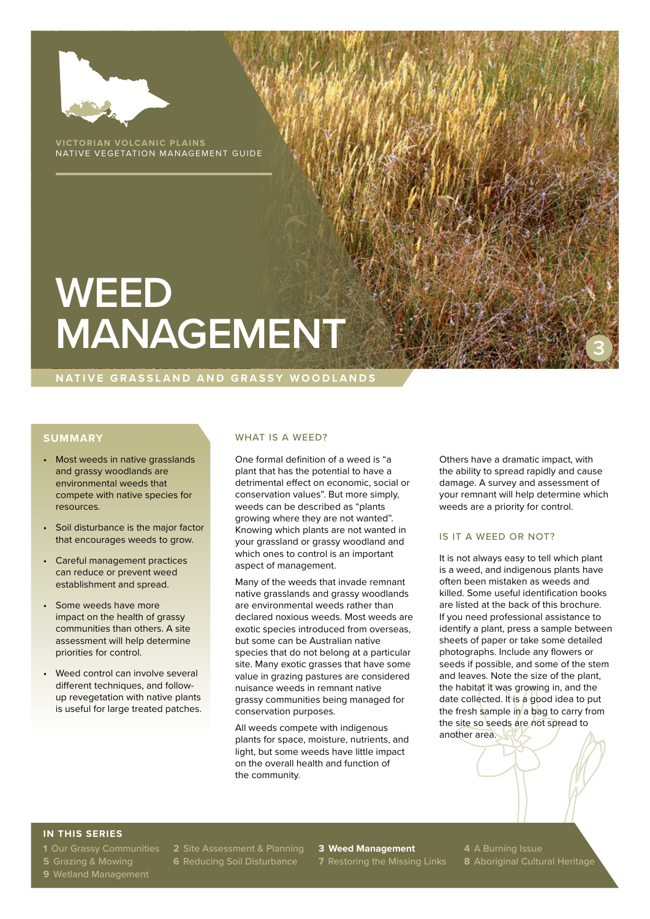

**VICTORIAN VOLCANIC PLAINS** NATIVE VEGETATION MANAGEMENT GUIDE

# **WEED MANAGEMENT**

#### **NATIVE GRASSLAND AND GRASSY WOODLANDS**

## **SUMMARY**

- Most weeds in native grasslands and grassy woodlands are environmental weeds that compete with native species for resources.
- Soil disturbance is the major factor that encourages weeds to grow.
- Careful management practices can reduce or prevent weed establishment and spread.
- Some weeds have more impact on the health of grassy communities than others. A site assessment will help determine priorities for control.
- Weed control can involve several different techniques, and followup revegetation with native plants is useful for large treated patches.

#### WHAT IS A WEED?

One formal definition of a weed is "a plant that has the potential to have a detrimental effect on economic, social or conservation values". But more simply, weeds can be described as "plants growing where they are not wanted". Knowing which plants are not wanted in your grassland or grassy woodland and which ones to control is an important aspect of management.

Many of the weeds that invade remnant native grasslands and grassy woodlands are environmental weeds rather than declared noxious weeds. Most weeds are exotic species introduced from overseas, but some can be Australian native species that do not belong at a particular site. Many exotic grasses that have some value in grazing pastures are considered nuisance weeds in remnant native grassy communities being managed for conservation purposes.

All weeds compete with indigenous plants for space, moisture, nutrients, and light, but some weeds have little impact on the overall health and function of the community.

Others have a dramatic impact, with the ability to spread rapidly and cause damage. A survey and assessment of your remnant will help determine which weeds are a priority for control.

**3**

#### IS IT A WEED OR NOT?

It is not always easy to tell which plant is a weed, and indigenous plants have often been mistaken as weeds and killed. Some useful identification books are listed at the back of this brochure. If you need professional assistance to identify a plant, press a sample between sheets of paper or take some detailed photographs. Include any flowers or seeds if possible, and some of the stem and leaves. Note the size of the plant, the habitat it was growing in, and the date collected. It is a good idea to put the fresh sample in a bag to carry from the site so seeds are not spread to another area.

# **IN THIS SERIES**

- 
- **9** Wetland Management

**1** Our Grassy Communities **2** Site Assessment & Planning **3 Weed Management 4** A Burning Issue

**5** Grazing & Mowing **6** Reducing Soil Disturbance **7** Restoring the Missing Links **8** Aboriginal Cultural Heritage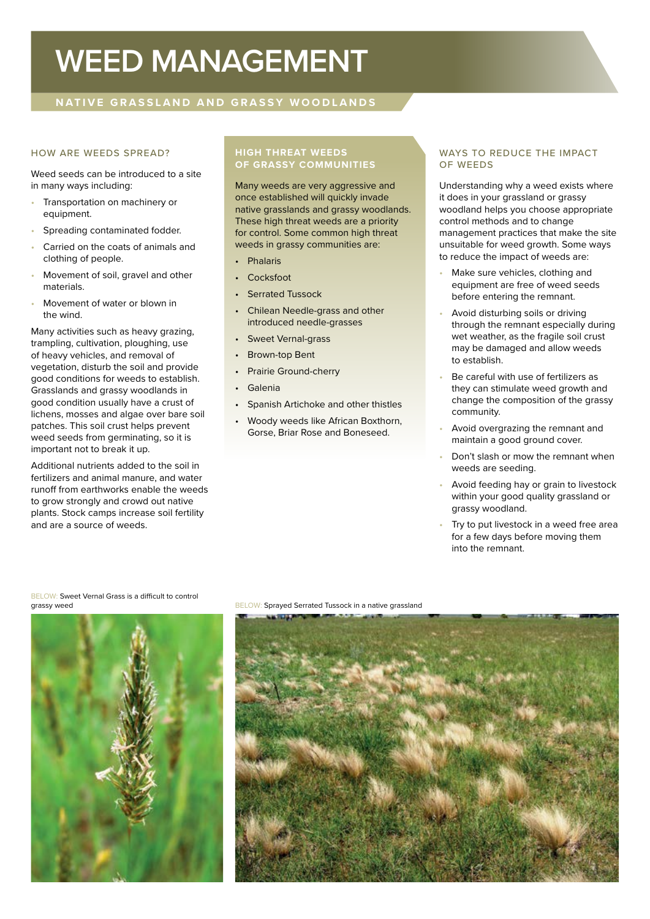# **WEED MANAGEMENT**

# **NATIVE GRASSLAND AND GRASSY WOODLANDS**

#### HOW ARE WEEDS SPREAD?

Weed seeds can be introduced to a site in many ways including:

- Transportation on machinery or equipment.
- Spreading contaminated fodder.
- Carried on the coats of animals and clothing of people.
- Movement of soil, gravel and other materials.
- Movement of water or blown in the wind.

Many activities such as heavy grazing, trampling, cultivation, ploughing, use of heavy vehicles, and removal of vegetation, disturb the soil and provide good conditions for weeds to establish. Grasslands and grassy woodlands in good condition usually have a crust of lichens, mosses and algae over bare soil patches. This soil crust helps prevent weed seeds from germinating, so it is important not to break it up.

Additional nutrients added to the soil in fertilizers and animal manure, and water runoff from earthworks enable the weeds to grow strongly and crowd out native plants. Stock camps increase soil fertility and are a source of weeds.

#### **HIGH THREAT WEEDS OF GRASSY COMMUNITIES**

Many weeds are very aggressive and once established will quickly invade native grasslands and grassy woodlands. These high threat weeds are a priority for control. Some common high threat weeds in grassy communities are:

- Phalaris
- Cocksfoot
- **Serrated Tussock**
- Chilean Needle-grass and other introduced needle-grasses
- Sweet Vernal-grass
- Brown-top Bent
- Prairie Ground-cherry
- Galenia
- Spanish Artichoke and other thistles
- Woody weeds like African Boxthorn, Gorse, Briar Rose and Boneseed.

#### WAYS TO REDUCE THE IMPACT OF WEEDS

Understanding why a weed exists where it does in your grassland or grassy woodland helps you choose appropriate control methods and to change management practices that make the site unsuitable for weed growth. Some ways to reduce the impact of weeds are:

- Make sure vehicles, clothing and equipment are free of weed seeds before entering the remnant.
- Avoid disturbing soils or driving through the remnant especially during wet weather, as the fragile soil crust may be damaged and allow weeds to establish.
- Be careful with use of fertilizers as they can stimulate weed growth and change the composition of the grassy community.
- Avoid overgrazing the remnant and maintain a good ground cover.
- Don't slash or mow the remnant when weeds are seeding.
- Avoid feeding hay or grain to livestock within your good quality grassland or grassy woodland.
- Try to put livestock in a weed free area for a few days before moving them into the remnant.

BELOW: Sweet Vernal Grass is a difficult to control<br>grassy weed



BELOW: Sprayed Serrated Tussock in a native grassland

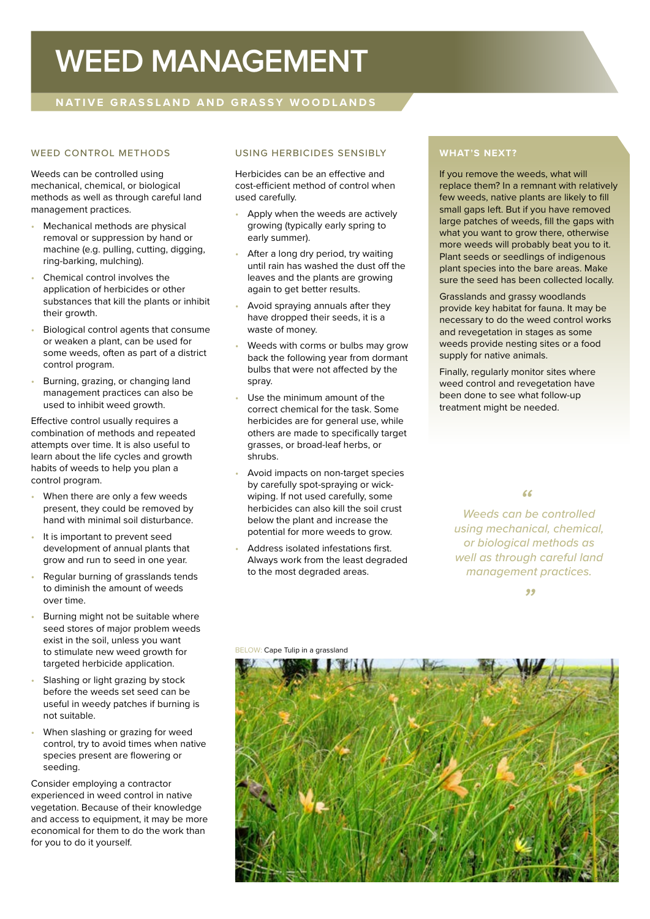# **WEED MANAGEMENT**

# **NATIVE GRASSLAND AND GRASSY WOODLANDS**

### WEED CONTROL METHODS

Weeds can be controlled using mechanical, chemical, or biological methods as well as through careful land management practices.

- Mechanical methods are physical removal or suppression by hand or machine (e.g. pulling, cutting, digging, ring-barking, mulching).
- Chemical control involves the application of herbicides or other substances that kill the plants or inhibit their growth.
- Biological control agents that consume or weaken a plant, can be used for some weeds, often as part of a district control program.
- Burning, grazing, or changing land management practices can also be used to inhibit weed growth.

Effective control usually requires a combination of methods and repeated attempts over time. It is also useful to learn about the life cycles and growth habits of weeds to help you plan a control program.

- When there are only a few weeds present, they could be removed by hand with minimal soil disturbance.
- It is important to prevent seed development of annual plants that grow and run to seed in one year.
- Regular burning of grasslands tends to diminish the amount of weeds over time.
- Burning might not be suitable where seed stores of major problem weeds exist in the soil, unless you want to stimulate new weed growth for targeted herbicide application.
- Slashing or light grazing by stock before the weeds set seed can be useful in weedy patches if burning is not suitable.
- When slashing or grazing for weed control, try to avoid times when native species present are flowering or seeding.

Consider employing a contractor experienced in weed control in native vegetation. Because of their knowledge and access to equipment, it may be more economical for them to do the work than for you to do it yourself.

# USING HERBICIDES SENSIBLY

Herbicides can be an effective and cost-efficient method of control when used carefully.

- Apply when the weeds are actively growing (typically early spring to early summer).
- After a long dry period, try waiting until rain has washed the dust off the leaves and the plants are growing again to get better results.
- Avoid spraying annuals after they have dropped their seeds, it is a waste of money.
- Weeds with corms or bulbs may grow back the following year from dormant bulbs that were not affected by the spray.
- Use the minimum amount of the correct chemical for the task. Some herbicides are for general use, while others are made to specifically target grasses, or broad-leaf herbs, or shrubs.
- Avoid impacts on non-target species by carefully spot-spraying or wickwiping. If not used carefully, some herbicides can also kill the soil crust below the plant and increase the potential for more weeds to grow.
- Address isolated infestations first. Always work from the least degraded to the most degraded areas.

# **WHAT'S NEXT?**

If you remove the weeds, what will replace them? In a remnant with relatively few weeds, native plants are likely to fill small gaps left. But if you have removed large patches of weeds, fill the gaps with what you want to grow there, otherwise more weeds will probably beat you to it. Plant seeds or seedlings of indigenous plant species into the bare areas. Make sure the seed has been collected locally.

Grasslands and grassy woodlands provide key habitat for fauna. It may be necessary to do the weed control works and revegetation in stages as some weeds provide nesting sites or a food supply for native animals.

Finally, regularly monitor sites where weed control and revegetation have been done to see what follow-up treatment might be needed.

*Weeds can be controlled " using mechanical, chemical, or biological methods as well as through careful land management practices.*

*"*